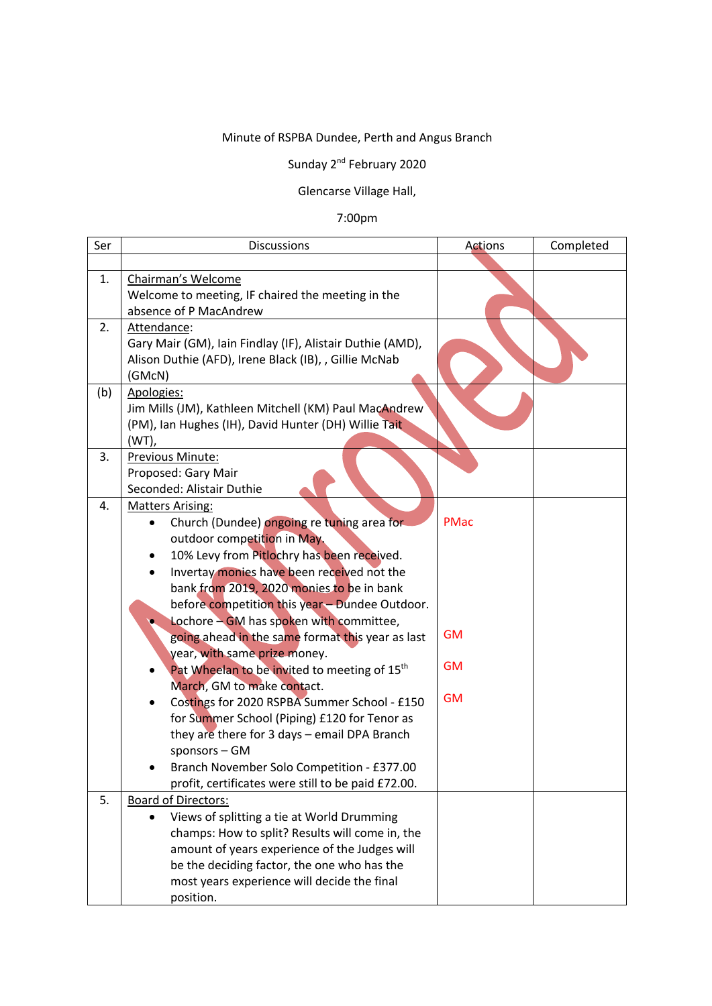## Minute of RSPBA Dundee, Perth and Angus Branch

## Sunday 2<sup>nd</sup> February 2020

## Glencarse Village Hall,

## 7:00pm

| Ser | <b>Discussions</b>                                                                                                                                                                                                                                                                                                                                                                                                                                                                                                                                                                                                                                                                                                                                                                                 | Actions                                            | Completed |
|-----|----------------------------------------------------------------------------------------------------------------------------------------------------------------------------------------------------------------------------------------------------------------------------------------------------------------------------------------------------------------------------------------------------------------------------------------------------------------------------------------------------------------------------------------------------------------------------------------------------------------------------------------------------------------------------------------------------------------------------------------------------------------------------------------------------|----------------------------------------------------|-----------|
|     |                                                                                                                                                                                                                                                                                                                                                                                                                                                                                                                                                                                                                                                                                                                                                                                                    |                                                    |           |
| 1.  | Chairman's Welcome<br>Welcome to meeting, IF chaired the meeting in the<br>absence of P MacAndrew                                                                                                                                                                                                                                                                                                                                                                                                                                                                                                                                                                                                                                                                                                  |                                                    |           |
| 2.  | Attendance:<br>Gary Mair (GM), Iain Findlay (IF), Alistair Duthie (AMD),<br>Alison Duthie (AFD), Irene Black (IB), , Gillie McNab<br>(GMcN)                                                                                                                                                                                                                                                                                                                                                                                                                                                                                                                                                                                                                                                        |                                                    |           |
| (b) | Apologies:<br>Jim Mills (JM), Kathleen Mitchell (KM) Paul MacAndrew<br>(PM), Ian Hughes (IH), David Hunter (DH) Willie Tait<br>$(WT)$ ,                                                                                                                                                                                                                                                                                                                                                                                                                                                                                                                                                                                                                                                            |                                                    |           |
| 3.  | Previous Minute:<br>Proposed: Gary Mair<br>Seconded: Alistair Duthie                                                                                                                                                                                                                                                                                                                                                                                                                                                                                                                                                                                                                                                                                                                               |                                                    |           |
| 4.  | <b>Matters Arising:</b><br>Church (Dundee) ongoing re tuning area for<br>outdoor competition in May.<br>10% Levy from Pitlochry has been received.<br>٠<br>Invertay monies have been received not the<br>bank from 2019, 2020 monies to be in bank<br>before competition this year - Dundee Outdoor.<br>Lochore - GM has spoken with committee,<br>going ahead in the same format this year as last<br>year, with same prize money.<br>Pat Wheelan to be invited to meeting of 15 <sup>th</sup><br>March, GM to make contact.<br>Costings for 2020 RSPBA Summer School - £150<br>for Summer School (Piping) £120 for Tenor as<br>they are there for 3 days - email DPA Branch<br>sponsors - GM<br>Branch November Solo Competition - £377.00<br>profit, certificates were still to be paid £72.00. | <b>PMac</b><br><b>GM</b><br><b>GM</b><br><b>GM</b> |           |
| 5.  | <b>Board of Directors:</b><br>Views of splitting a tie at World Drumming<br>champs: How to split? Results will come in, the<br>amount of years experience of the Judges will<br>be the deciding factor, the one who has the<br>most years experience will decide the final<br>position.                                                                                                                                                                                                                                                                                                                                                                                                                                                                                                            |                                                    |           |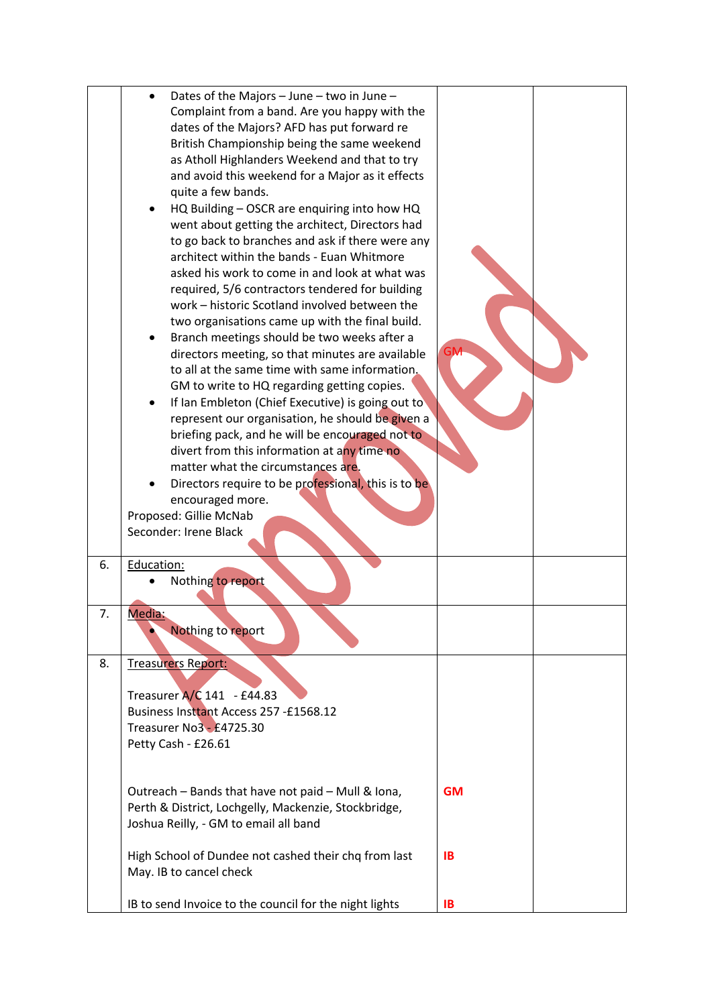|    | Dates of the Majors - June - two in June -<br>Complaint from a band. Are you happy with the<br>dates of the Majors? AFD has put forward re<br>British Championship being the same weekend<br>as Atholl Highlanders Weekend and that to try<br>and avoid this weekend for a Major as it effects<br>quite a few bands.<br>HQ Building - OSCR are enquiring into how HQ<br>went about getting the architect, Directors had<br>to go back to branches and ask if there were any<br>architect within the bands - Euan Whitmore<br>asked his work to come in and look at what was<br>required, 5/6 contractors tendered for building<br>work - historic Scotland involved between the<br>two organisations came up with the final build.<br>Branch meetings should be two weeks after a<br>directors meeting, so that minutes are available<br>to all at the same time with same information.<br>GM to write to HQ regarding getting copies.<br>If Ian Embleton (Chief Executive) is going out to<br>٠<br>represent our organisation, he should be given a<br>briefing pack, and he will be encouraged not to<br>divert from this information at any time no<br>matter what the circumstances are.<br>Directors require to be professional, this is to be<br>encouraged more.<br>Proposed: Gillie McNab<br>Seconder: Irene Black | <b>GM</b>       |  |
|----|----------------------------------------------------------------------------------------------------------------------------------------------------------------------------------------------------------------------------------------------------------------------------------------------------------------------------------------------------------------------------------------------------------------------------------------------------------------------------------------------------------------------------------------------------------------------------------------------------------------------------------------------------------------------------------------------------------------------------------------------------------------------------------------------------------------------------------------------------------------------------------------------------------------------------------------------------------------------------------------------------------------------------------------------------------------------------------------------------------------------------------------------------------------------------------------------------------------------------------------------------------------------------------------------------------------------------|-----------------|--|
| 6. | Education:                                                                                                                                                                                                                                                                                                                                                                                                                                                                                                                                                                                                                                                                                                                                                                                                                                                                                                                                                                                                                                                                                                                                                                                                                                                                                                                 |                 |  |
|    | Nothing to report                                                                                                                                                                                                                                                                                                                                                                                                                                                                                                                                                                                                                                                                                                                                                                                                                                                                                                                                                                                                                                                                                                                                                                                                                                                                                                          |                 |  |
| 7. | Media:<br>Nothing to report                                                                                                                                                                                                                                                                                                                                                                                                                                                                                                                                                                                                                                                                                                                                                                                                                                                                                                                                                                                                                                                                                                                                                                                                                                                                                                |                 |  |
| 8. | <b>Treasurers Report:</b><br>Treasurer A/C 141 - £44.83<br>Business Instrant Access 257 - £1568.12<br>Treasurer No3 - £4725.30<br>Petty Cash - £26.61                                                                                                                                                                                                                                                                                                                                                                                                                                                                                                                                                                                                                                                                                                                                                                                                                                                                                                                                                                                                                                                                                                                                                                      |                 |  |
|    | Outreach - Bands that have not paid - Mull & Iona,<br>Perth & District, Lochgelly, Mackenzie, Stockbridge,<br>Joshua Reilly, - GM to email all band<br>High School of Dundee not cashed their chq from last<br>May. IB to cancel check                                                                                                                                                                                                                                                                                                                                                                                                                                                                                                                                                                                                                                                                                                                                                                                                                                                                                                                                                                                                                                                                                     | <b>GM</b><br>IB |  |
|    | IB to send Invoice to the council for the night lights                                                                                                                                                                                                                                                                                                                                                                                                                                                                                                                                                                                                                                                                                                                                                                                                                                                                                                                                                                                                                                                                                                                                                                                                                                                                     | IB              |  |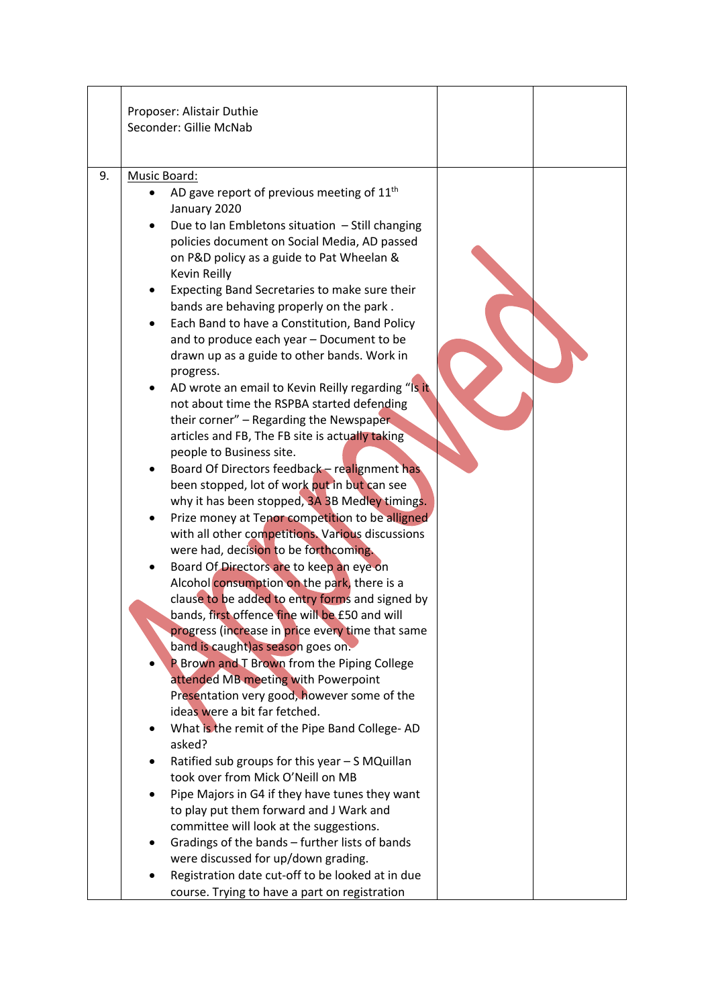|    | Proposer: Alistair Duthie<br>Seconder: Gillie McNab                                                                                                                                                                                                                                                                                                                                                                                                                                                                                                                                                                                                                                                                                                                                                                                                                                                                                                                                                                                                                                                                                                                                                                                                                                                                                                                                                                                                                                                                                                                                                                                                                                                                                                                                                                                                                                                                                                             |  |
|----|-----------------------------------------------------------------------------------------------------------------------------------------------------------------------------------------------------------------------------------------------------------------------------------------------------------------------------------------------------------------------------------------------------------------------------------------------------------------------------------------------------------------------------------------------------------------------------------------------------------------------------------------------------------------------------------------------------------------------------------------------------------------------------------------------------------------------------------------------------------------------------------------------------------------------------------------------------------------------------------------------------------------------------------------------------------------------------------------------------------------------------------------------------------------------------------------------------------------------------------------------------------------------------------------------------------------------------------------------------------------------------------------------------------------------------------------------------------------------------------------------------------------------------------------------------------------------------------------------------------------------------------------------------------------------------------------------------------------------------------------------------------------------------------------------------------------------------------------------------------------------------------------------------------------------------------------------------------------|--|
| 9. | Music Board:<br>AD gave report of previous meeting of $11th$<br>January 2020<br>Due to Ian Embletons situation - Still changing<br>policies document on Social Media, AD passed<br>on P&D policy as a guide to Pat Wheelan &<br>Kevin Reilly<br>Expecting Band Secretaries to make sure their<br>bands are behaving properly on the park.<br>Each Band to have a Constitution, Band Policy<br>and to produce each year - Document to be<br>drawn up as a guide to other bands. Work in<br>progress.<br>AD wrote an email to Kevin Reilly regarding "Is it<br>not about time the RSPBA started defending<br>their corner" - Regarding the Newspaper<br>articles and FB, The FB site is actually taking<br>people to Business site.<br>Board Of Directors feedback - realignment has<br>been stopped, lot of work put in but can see<br>why it has been stopped, 3A 3B Medley timings.<br>Prize money at Tenor competition to be alligned<br>with all other competitions. Various discussions<br>were had, decision to be forthcoming.<br>Board Of Directors are to keep an eye on<br>Alcohol consumption on the park, there is a<br>clause to be added to entry forms and signed by<br>bands, first offence fine will be £50 and will<br>progress (increase in price every time that same<br>band is caught) as season goes on.<br><b>P Brown and T Brown from the Piping College</b><br>attended MB meeting with Powerpoint<br>Presentation very good, however some of the<br>ideas were a bit far fetched.<br>What is the remit of the Pipe Band College-AD<br>asked?<br>Ratified sub groups for this year - S MQuillan<br>took over from Mick O'Neill on MB<br>Pipe Majors in G4 if they have tunes they want<br>to play put them forward and J Wark and<br>committee will look at the suggestions.<br>Gradings of the bands - further lists of bands<br>$\bullet$<br>were discussed for up/down grading.<br>Registration date cut-off to be looked at in due |  |
|    | course. Trying to have a part on registration                                                                                                                                                                                                                                                                                                                                                                                                                                                                                                                                                                                                                                                                                                                                                                                                                                                                                                                                                                                                                                                                                                                                                                                                                                                                                                                                                                                                                                                                                                                                                                                                                                                                                                                                                                                                                                                                                                                   |  |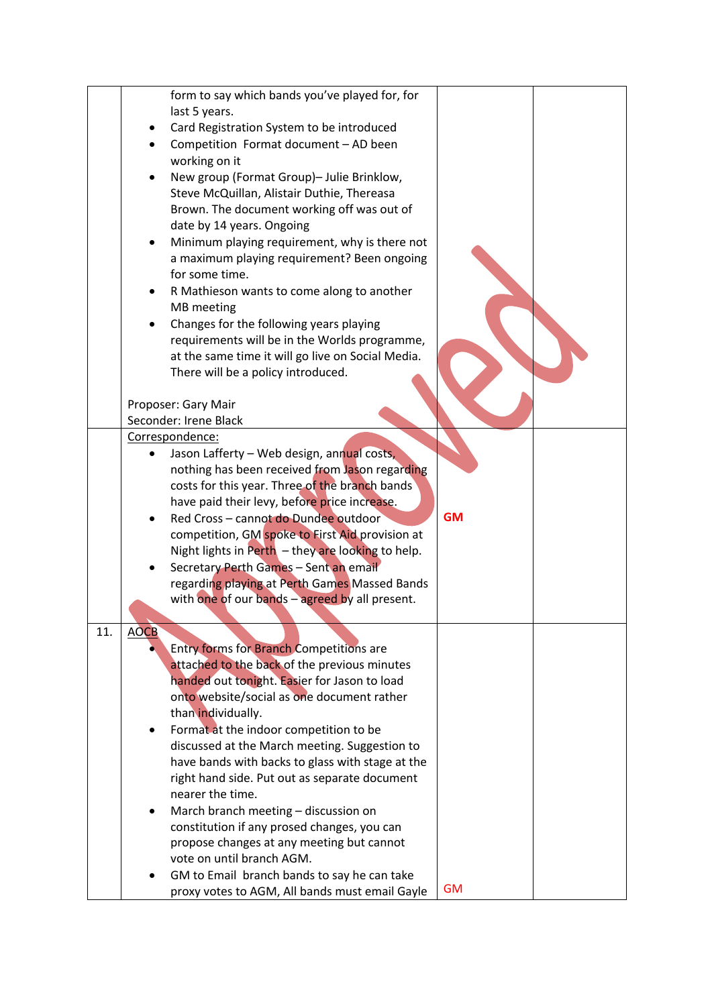|     | form to say which bands you've played for, for          |           |  |
|-----|---------------------------------------------------------|-----------|--|
|     | last 5 years.                                           |           |  |
|     | Card Registration System to be introduced               |           |  |
|     | Competition Format document - AD been                   |           |  |
|     | working on it                                           |           |  |
|     | New group (Format Group)- Julie Brinklow,               |           |  |
|     | Steve McQuillan, Alistair Duthie, Thereasa              |           |  |
|     | Brown. The document working off was out of              |           |  |
|     | date by 14 years. Ongoing                               |           |  |
|     | Minimum playing requirement, why is there not           |           |  |
|     | a maximum playing requirement? Been ongoing             |           |  |
|     | for some time.                                          |           |  |
|     | R Mathieson wants to come along to another              |           |  |
|     | MB meeting                                              |           |  |
|     | Changes for the following years playing                 |           |  |
|     | requirements will be in the Worlds programme,           |           |  |
|     | at the same time it will go live on Social Media.       |           |  |
|     | There will be a policy introduced.                      |           |  |
|     |                                                         |           |  |
|     | Proposer: Gary Mair                                     |           |  |
|     | Seconder: Irene Black                                   |           |  |
|     | Correspondence:                                         |           |  |
|     | Jason Lafferty - Web design, annual costs,<br>$\bullet$ |           |  |
|     | nothing has been received from Jason regarding          |           |  |
|     | costs for this year. Three of the branch bands          |           |  |
|     | have paid their levy, before price increase.            |           |  |
|     | Red Cross - cannot do Dundee outdoor<br>$\bullet$       | <b>GM</b> |  |
|     | competition, GM spoke to First Aid provision at         |           |  |
|     | Night lights in Perth $-$ they are looking to help.     |           |  |
|     | Secretary Perth Games - Sent an email                   |           |  |
|     | regarding playing at Perth Games Massed Bands           |           |  |
|     | with one of our bands - agreed by all present.          |           |  |
|     |                                                         |           |  |
| 11. | <b>AOCB</b>                                             |           |  |
|     | <b>Entry forms for Branch Competitions are</b>          |           |  |
|     | attached to the back of the previous minutes            |           |  |
|     | handed out tonight. Easier for Jason to load            |           |  |
|     | onto website/social as one document rather              |           |  |
|     | than individually.                                      |           |  |
|     | Format at the indoor competition to be<br>٠             |           |  |
|     | discussed at the March meeting. Suggestion to           |           |  |
|     | have bands with backs to glass with stage at the        |           |  |
|     | right hand side. Put out as separate document           |           |  |
|     | nearer the time.                                        |           |  |
|     | March branch meeting - discussion on<br>$\bullet$       |           |  |
|     | constitution if any prosed changes, you can             |           |  |
|     | propose changes at any meeting but cannot               |           |  |
|     | vote on until branch AGM.                               |           |  |
|     | GM to Email branch bands to say he can take             |           |  |
|     | proxy votes to AGM, All bands must email Gayle          | <b>GM</b> |  |